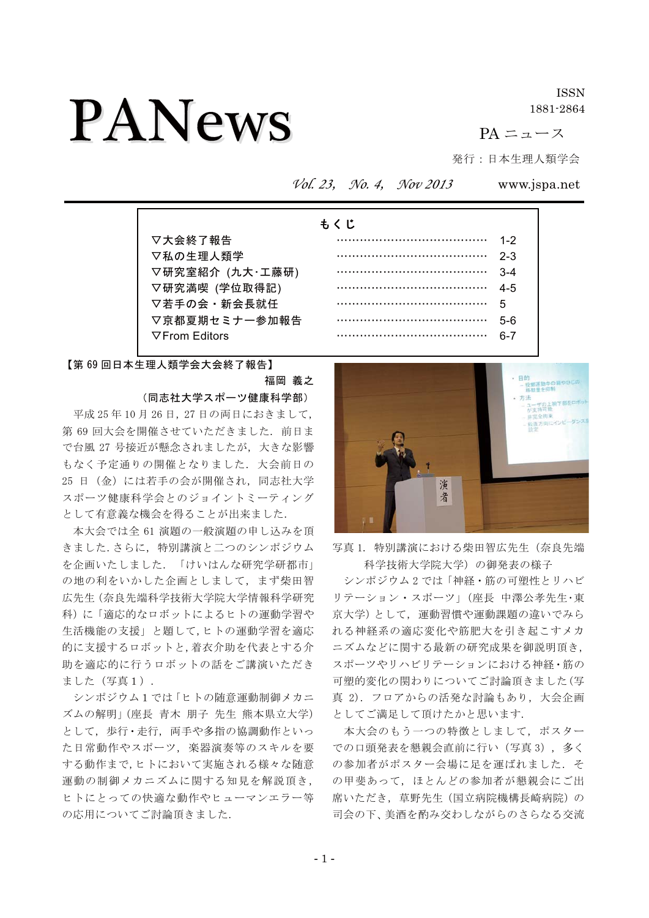# **PANews**

**ISSN** 1881-2864

 $PA = 1 - 7$ 

発行:日本生理人類学会

Vol. 23, No. 4, Nov 2013

www.jspa.net

|                       | もくじ |     |
|-----------------------|-----|-----|
| ▽大会終了報告               |     | 1-2 |
| ▽私の生理人類学              |     | 2-3 |
| ▽研究室紹介 (九大・工藤研)       |     | 3-4 |
| ▽研究満喫 (学位取得記)         |     | 4-5 |
| ▽若手の会・新会長就任           |     | 5   |
| ▽京都夏期セミナー参加報告         |     | 5-6 |
| $\nabla$ From Editors |     | հ-7 |

【第69回日本生理人類学会大会終了報告】

福岡 義之 (同志社大学スポーツ健康科学部)

平成25年10月26日、27日の両日におきまして、 第69回大会を開催させていただきました。前日ま で台風 27 号接近が懸念されましたが、大きな影響 もなく予定通りの開催となりました。大会前日の 25 日 (金) には若手の会が開催され、同志社大学 スポーツ健康科学会とのジョイントミーティング として有意義な機会を得ることが出来ました.

本大会では全 61 演題の一般演題の申し込みを頂 きました. さらに、特別講演と二つのシンポジウム を企画いたしました.「けいはんな研究学研都市」 の地の利をいかした企画としまして、まず柴田智 広先生 (奈良先端科学技術大学院大学情報科学研究 科)に「適応的なロボットによるヒトの運動学習や 生活機能の支援」と題して、ヒトの運動学習を適応 的に支援するロボットと,着衣介助を代表とする介 助を適応的に行うロボットの話をご講演いただき ました (写真1).

シンポジウム1では「ヒトの随意運動制御メカニ ズムの解明」 (座長 青木 朋子 先生 熊本県立大学) として、歩行·走行、両手や多指の協調動作といっ た日常動作やスポーツ、楽器演奏等のスキルを要 する動作まで、ヒトにおいて実施される様々な随意 運動の制御メカニズムに関する知見を解説頂き, ヒトにとっての快適な動作やヒューマンエラー等 の応用についてご討論頂きました.



写真 1. 特別講演における柴田智広先生 (奈良先端 科学技術大学院大学)の御発表の様子

シンポジウム2では「神経・筋の可塑性とリハビ リテーション・スポーツ」(座長 中澤公孝先生・東 京大学)として、運動習慣や運動課題の違いでみら れる神経系の適応変化や筋肥大を引き起こすメカ ニズムなどに関する最新の研究成果を御説明頂き, スポーツやリハビリテーションにおける神経・筋の 可塑的変化の関わりについてご討論頂きました(写 真 2). フロアからの活発な討論もあり、大会企画 としてご満足して頂けたかと思います.

本大会のもう一つの特徴としまして、ポスター での口頭発表を懇親会直前に行い (写真3), 多く の参加者がポスター会場に足を運ばれました. そ の甲斐あって、ほとんどの参加者が懇親会にご出 席いただき、草野先生(国立病院機構長崎病院)の 司会の下、美酒を酌み交わしながらのさらなる交流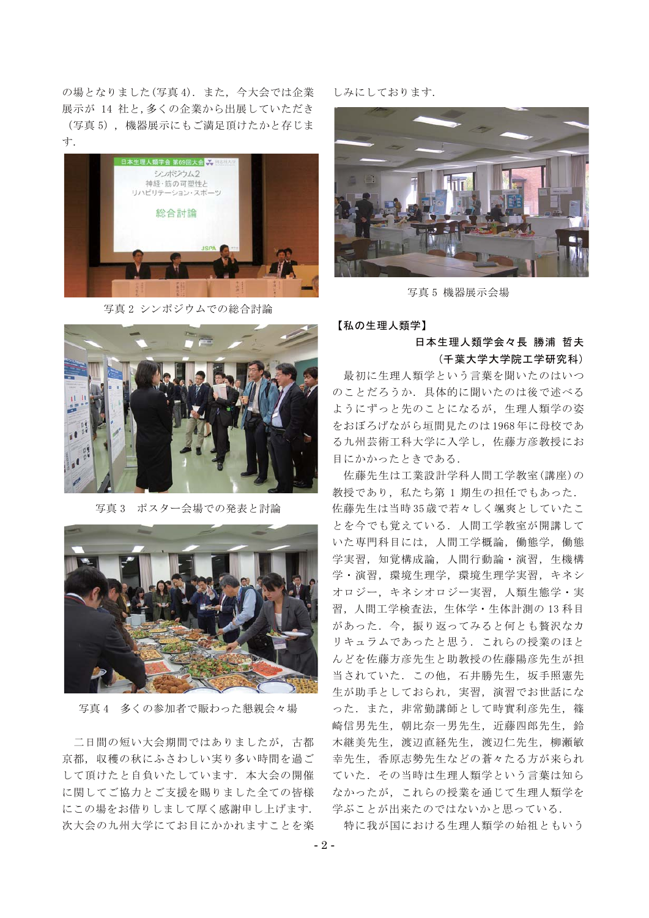の場となりました(写真4). また、今大会では企業 展示が 14 社と、多くの企業から出展していただき (写真5)、機器展示にもご満足頂けたかと存じま 寸.



写真2 シンポジウムでの総合計論



写真3 ポスター会場での発表と計論



写真4 多くの参加者で賑わった懇親会々場

二日間の短い大会期間ではありましたが、古都 京都、収穫の秋にふさわしい実り多い時間を過ご して頂けたと自負いたしています。本大会の開催 に関してご協力とご支援を賜りました全ての皆様 にこの場をお借りしまして厚く感謝申し上げます. 次大会の九州大学にてお目にかかれますことを楽 しみにしております.



写真 5 機器展示会場

## 【私の生理人類学】

## 日本生理人類学会々長 勝浦 哲夫 (千葉大学大学院工学研究科)

最初に生理人類学という言葉を聞いたのはいつ のことだろうか。具体的に聞いたのは後で述べる ようにずっと先のことになるが、生理人類学の姿 をおぼろげながら垣間見たのは1968年に母校であ る九州芸術工科大学に入学し、佐藤方彦教授にお 目にかかったときである.

佐藤先生は工業設計学科人間工学教室(講座)の 教授であり、私たち第1期生の担任でもあった. 佐藤先生は当時35歳で若々しく颯爽としていたこ とを今でも覚えている. 人間工学教室が開講して いた専門科目には、人間工学概論、働熊学、働熊 学実習, 知覚構成論, 人間行動論·演習, 生機構 学·演習、環境生理学、環境生理学実習、キネシ オロジー、キネシオロジー実習、人類生態学・実 習. 人間工学検査法. 生体学・生体計測の13科目 があった. 今、振り返ってみると何とも贅沢なカ リキュラムであったと思う. これらの授業のほと んどを佐藤方彦先生と助教授の佐藤陽彦先生が担 当されていた、この他、石井勝先生、坂手照憲先 生が助手としておられ、実習、演習でお世話にな った. また、非常勤講師として時實利彦先生, 篠 崎信男先生, 朝比奈一男先生, 近藤四郎先生, 鈴 木継美先生, 渡辺直経先生, 渡辺仁先生, 柳瀬敏 幸先生、香原志勢先生などの蒼々たる方が来られ ていた. その当時は生理人類学という言葉は知ら なかったが、これらの授業を通じて生理人類学を 学ぶことが出来たのではないかと思っている.

特に我が国における生理人類学の始祖ともいう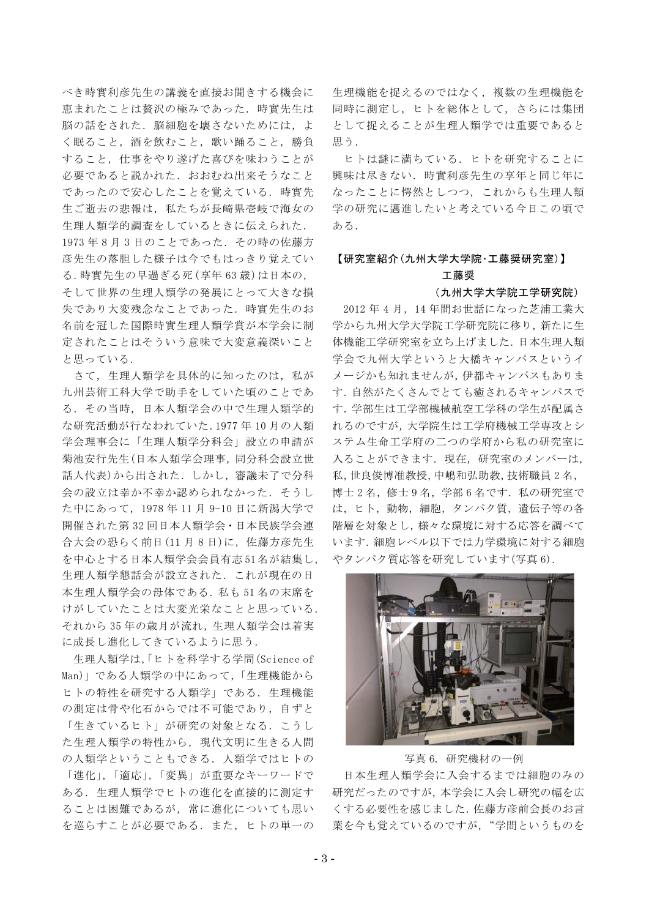べき時實利彦先生の講義を直接お聞きする機会に 恵まれたことは贅沢の極みであった。時實先生は 脳の話をされた、脳細胞を壊さないためには、よ く眠ること、酒を飲むこと、歌い踊ること、勝負 すること、仕事をやり遂げた喜びを味わうことが 必要であると説かれた、おおれね出来そうなこと であったので安心したことを覚えている。時實先 生ご逝去の悲報は、私たちが長崎県壱岐で海女の 生理人類学的調査をしているときに伝えられた. 1973年8月3日のことであった. その時の佐藤方 彦先生の落胆した様子は今でもはっきり覚えてい る. 時實先生の早過ぎる死 (享年63歳)は日本の. そして世界の生理人類学の発展にとって大きな損 失であり大変残念なことであった、時實先生のお 名前を冠した国際時實生理人類学賞が本学会に制 定されたことはそういう意味で大変意義深いこと と思っている.

さて、生理人類学を具体的に知ったのは、私が 九州芸術工科大学で助手をしていた頃のことであ る. その当時, 日本人類学会の中で生理人類学的 な研究活動が行なわれていた.1977年10月の人類 学会理事会に「生理人類学分科会」設立の申請が 菊池安行先生(日本人類学会理事,同分科会設立世 話人代表)から出された. しかし、審議未了で分科 会の設立は幸か不幸か認められなかった。そうし た中にあって、1978年11月9-10日に新潟大学で 開催された第32回日本人類学会·日本民族学会連 合大会の恐らく前日(11月8日)に、佐藤方彦先生 を中心とする日本人類学会会員有志51名が結集し, 生理人類学懇話会が設立された。これが現在の日 本生理人類学会の母体である. 私も51名の末席を けがしていたことは大変光栄なことと思っている. それから35年の歳月が流れ、生理人類学会は着実 に成長し進化してきているように思う.

生理人類学は,「ヒトを科学する学問(Science of Man)」である人類学の中にあって、「生理機能から ヒトの特性を研究する人類学」である. 生理機能 の測定は骨や化石からでは不可能であり、自ずと 「生きているヒト」が研究の対象となる. こうし た生理人類学の特性から、現代文明に生きる人間 の人類学ということもできる。人類学ではヒトの 「進化」,「適応」,「変異」が重要なキーワードで ある。生理人類学でヒトの進化を直接的に測定す ることは困難であるが、常に進化についても思い を巡らすことが必要である。また、ヒトの単一の

生理機能を捉えるのではなく、複数の生理機能を 同時に測定し、ヒトを総体として、さらには集団 として捉えることが生理人類学では重要であると 思う.

ヒトは謎に満ちている。ヒトを研究することに 興味は尽きない. 時實利彦先生の享年と同じ年に なったことに愕然としつつ、これからも生理人類 学の研究に邁進したいと考えている今日この頃で ある.

## 【研究室紹介(九州大学大学院·工藤奨研究室)】

## 工藤奨

## (九州大学大学院工学研究院)

2012年4月、14年間お世話になった芝浦工業大 学から九州大学大学院工学研究院に移り, 新たに生 体機能工学研究室を立ち上げました. 日本生理人類 学会で九州大学というと大橋キャンパスというイ メージかも知れませんが、伊都キャンパスもありま す. 自然がたくさんでとても癒されるキャンパスで す. 学部生は工学部機械航空工学科の学生が配属さ れるのですが、大学院生は工学府機械工学専攻とシ ステム生命工学府の二つの学府から私の研究室に 入ることができます. 現在、研究室のメンバーは, 私,世良俊博准教授,中嶋和弘助教,技術職員2名, 博士2名, 修士9名, 学部6名です. 私の研究室で は、ヒト、動物、細胞、タンパク質、遺伝子等の各 階層を対象とし、様々な環境に対する応答を調べて います. 細胞レベル以下では力学環境に対する細胞 やタンパク質応答を研究しています(写真6).



## 写真 6. 研究機材の一例

日本生理人類学会に入会するまでは細胞のみの 研究だったのですが、本学会に入会し研究の幅を広 くする必要性を感じました. 佐藤方彦前会長のお言 葉を今も覚えているのですが、"学問というものを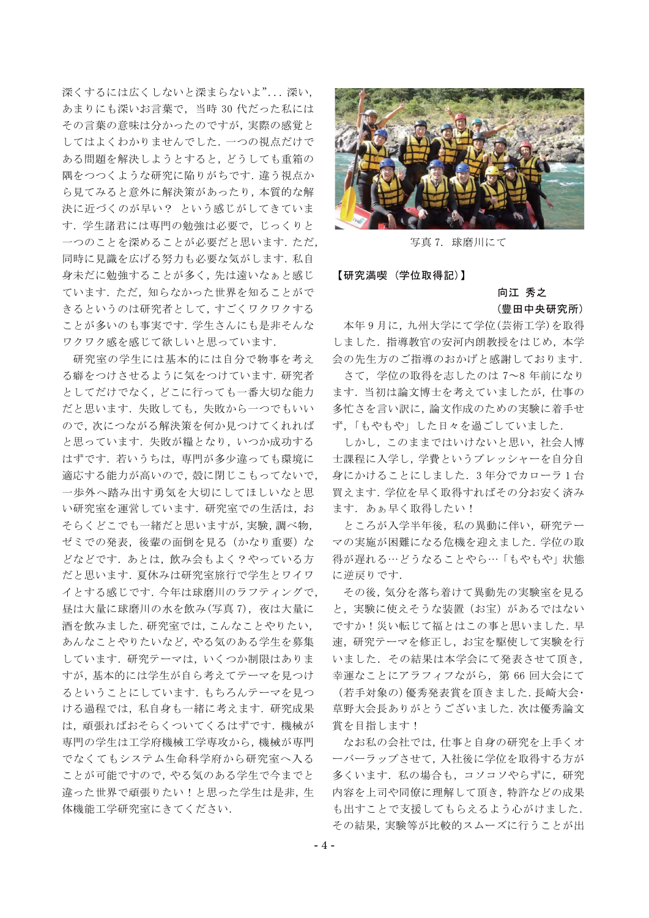深くするには広くしないと深まらないよ"... 深い, あまりにも深いお言葉で、当時 30代だった私には その言葉の意味は分かったのですが、実際の感覚と してはよくわかりませんでした. 一つの視点だけで ある問題を解決しようとすると、どうしても重箱の 隅をつつくような研究に陥りがちです. 違う視点か ら見てみると意外に解決策があったり、本質的な解 決に近づくのが早い? という感じがしてきていま す. 学生諸君には専門の勉強は必要で、じっくりと 一つのことを深めることが必要だと思います. ただ, 同時に見識を広げる努力も必要な気がします. 私自 身未だに勉強することが多く、先は遠いなぁと感じ ています. ただ、知らなかった世界を知ることがで きるというのは研究者として、すごくワクワクする ことが多いのも事実です. 学生さんにも是非そんな ワクワク感を感じて欲しいと思っています.

研究室の学生には基本的には自分で物事を考え る癖をつけさせるように気をつけています. 研究者 としてだけでなく、どこに行っても一番大切な能力 だと思います. 失敗しても、失敗から一つでもいい ので、次につながる解決策を何か見つけてくれれば と思っています. 失敗が糧となり、いつか成功する はずです. 若いうちは、専門が多少違っても環境に 適応する能力が高いので、殻に閉じこもってないで, 一歩外へ踏み出す勇気を大切にしてほしいなと思 い研究室を運営しています。研究室での生活は、お そらくどこでも一緒だと思いますが、実験、調べ物, ゼミでの発表、後輩の面倒を見る(かなり重要)な どなどです. あとは、飲み会もよく?やっている方 だと思います. 夏休みは研究室旅行で学生とワイワ イとする感じです. 今年は球磨川のラフティングで, 昼は大量に球磨川の水を飲み(写真 7),夜は大量に 酒を飲みました. 研究室では、こんなことやりたい, あんなことやりたいなど、やる気のある学生を募集 しています. 研究テーマは、いくつか制限はありま すが、基本的には学生が自ら考えてテーマを見つけ るということにしています. もちろんテーマを見つ ける過程では、私自身も一緒に考えます。研究成果 は、頑張ればおそらくついてくるはずです. 機械が 専門の学生は工学府機械工学専攻から,機械が専門 でなくてもシステム生命科学府から研究室へ入る ことが可能ですので、やる気のある学生で今までと 違った世界で頑張りたい!と思った学生は是非,生 体機能工学研究室にきてください.



写真 7. 球磨川にて

【研究満喫(学位取得記)】

# 向江 秀之 (豊田中央研究所)

本年9月に, 九州大学にて学位(芸術工学)を取得 しました. 指導教官の安河内朗教授をはじめ、本学 会の先生方のご指導のおかげと感謝しております.

さて、学位の取得を志したのは 7~8年前になり ます. 当初は論文博士を考えていましたが、仕事の 多忙さを言い訳に、論文作成のための実験に着手せ ず、「もやもや」した日々を過ごしていました.

しかし、このままではいけないと思い、社会人博 士課程に入学し、学費というプレッシャーを自分自 身にかけることにしました. 3年分でカローラ1台 買えます. 学位を早く取得すればその分お安く済み ます. あぁ早く取得したい!

ところが入学半年後、私の異動に伴い、研究テー マの実施が困難になる危機を迎えました. 学位の取 得が遅れる…どうなることやら…「もやもや」状態 に逆戻りです.

その後, 気分を落ち着けて異動先の実験室を見る と、実験に使えそうな装置(お宝)があるではない ですか!災い転じて福とはこの事と思いました. 早 速, 研究テーマを修正し、お宝を駆使して実験を行 いました. その結果は本学会にて発表させて頂き, 幸運なことにアラフィフながら、第66回大会にて (若手対象の)優秀発表賞を頂きました. 長崎大会· 草野大会長ありがとうございました. 次は優秀論文 賞を目指します!

なお私の会社では、仕事と自身の研究を上手くオ ーバーラップさせて、入社後に学位を取得する方が 多くいます. 私の場合も、コソコソやらずに、研究 内容を上司や同僚に理解して頂き、特許などの成果 も出すことで支援してもらえるよう心がけました. その結果、実験等が比較的スムーズに行うことが出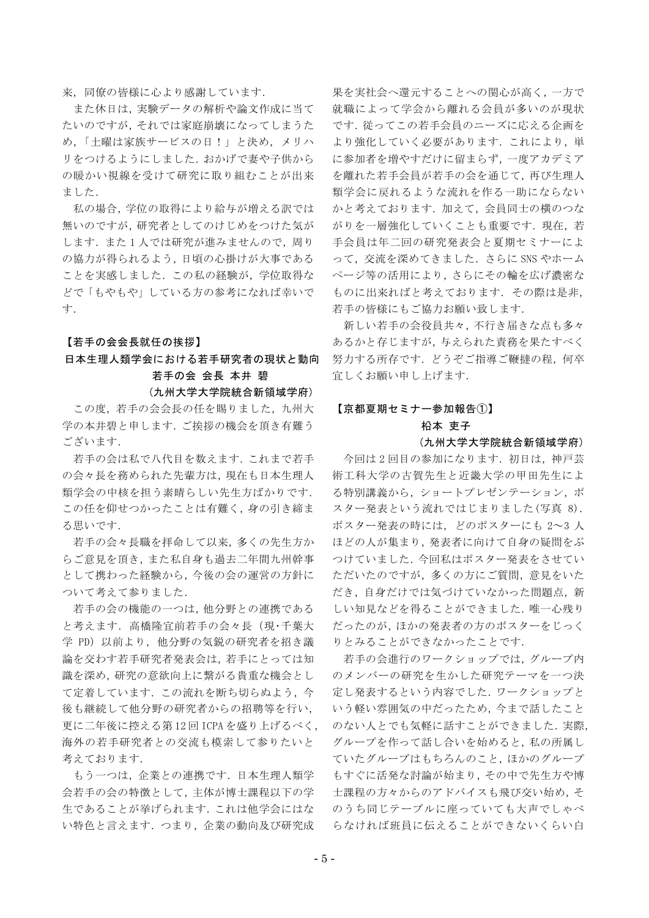来、同僚の皆様に心より感謝しています.

また休日は、実験データの解析や論文作成に当て たいのですが、それでは家庭崩壊になってしまうた め、「土曜は家族サービスの日!」と決め、メリハ リをつけるようにしました. おかげで妻や子供から の暖かい視線を受けて研究に取り組むことが出来 ました.

私の場合, 学位の取得により給与が増える訳では 無いのですが、研究者としてのけじめをつけた気が します. また1人では研究が進みませんので、周り の協力が得られるよう、日頃の心掛けが大事である ことを実感しました. この私の経験が、学位取得な どで「もやもや」している方の参考になれば幸いで 寸.

## 【若手の会会長就任の挨拶】

## 日本生理人類学会における若手研究者の現状と動向 若手の会 会長 本井 碧

#### (九州大学大学院統合新領域学府)

この度, 若手の会会長の任を賜りました, 九州大 学の本井碧と申します. ご挨拶の機会を頂き有難う ございます.

若手の会は私で八代目を数えます. これまで若手 の会々長を務められた先輩方は、現在も日本生理人 類学会の中核を担う素晴らしい先生方ばかりです. この任を仰せつかったことは有難く, 身の引き締ま る思いです.

若手の会々長職を拝命して以来、多くの先生方か らご意見を頂き、また私自身も過去二年間九州幹事 として携わった経験から、今後の会の運営の方針に ついて考えて参りました.

若手の会の機能の一つは、他分野との連携である と考えます. 高橋隆宜前若手の会々長(現・千葉大 学 PD) 以前より、他分野の気鋭の研究者を招き議 論を交わす若手研究者発表会は、若手にとっては知 識を深め、研究の意欲向上に繋がる貴重な機会とし て定着しています. この流れを断ち切らぬよう, 今 後も継続して他分野の研究者からの招聘等を行い, 更に二年後に控える第12回ICPAを盛り上げるべく、 海外の若手研究者との交流も模索して参りたいと 考えております.

もう一つは、企業との連携です. 日本生理人類学 会若手の会の特徴として、主体が博士課程以下の学 生であることが挙げられます. これは他学会にはな い特色と言えます. つまり、企業の動向及び研究成

果を実社会へ還元することへの関心が高く、一方で 就職によって学会から離れる会員が多いのが現状 です. 従ってこの若手会員のニーズに応える企画を より強化していく必要があります. これにより、単 に参加者を増やすだけに留まらず、一度アカデミア を離れた若手会員が若手の会を通じて、再び生理人 類学会に戻れるような流れを作る一助にならない かと考えております. 加えて、会員同士の横のつな がりを一層強化していくことも重要です. 現在,若 手会員は年二回の研究発表会と夏期セミナーによ って、交流を深めてきました. さらに SNS やホーム ページ等の活用により、さらにその輪を広げ濃密な ものに出来ればと考えております。 その際は是非, 若手の皆様にもご協力お願い致します.

新しい若手の会役員共々,不行き届きな点も多々 あるかと存じますが、与えられた責務を果たすべく 努力する所存です. どうぞご指導ご鞭撻の程, 何卒 宜しくお願い申し上げます.

#### 【京都夏期セミナー参加報告①】

## 柗本 吏子

## (九州大学大学院統合新領域学府)

今回は2回目の参加になります。初日は、神戸芸 術工科大学の古賀先生と近畿大学の甲田先生によ る特別講義から、ショートプレゼンテーション, ポ スター発表という流れではじまりました(写真 8). ポスター発表の時には、どのポスターにも 2~3人 ほどの人が集まり,発表者に向けて自身の疑問をぶ つけていました. 今回私はポスター発表をさせてい ただいたのですが、多くの方にご質問、意見をいた だき、自身だけでは気づけていなかった問題点, 新 しい知見などを得ることができました. 唯一心残り だったのが、ほかの発表者の方のポスターをじっく りとみることができなかったことです.

若手の会進行のワークショップでは、グループ内 のメンバーの研究を生かした研究テーマを一つ決 定し発表するという内容でした. ワークショップと いう軽い雰囲気の中だったため、今まで話したこと のない人とでも気軽に話すことができました. 実際. グループを作って話し合いを始めると, 私の所属し ていたグループはもちろんのこと、ほかのグループ もすぐに活発な討論が始まり、その中で先生方や博 士課程の方々からのアドバイスも飛び交い始め、そ のうち同じテーブルに座っていても大声でしゃべ らなければ班員に伝えることができないくらい白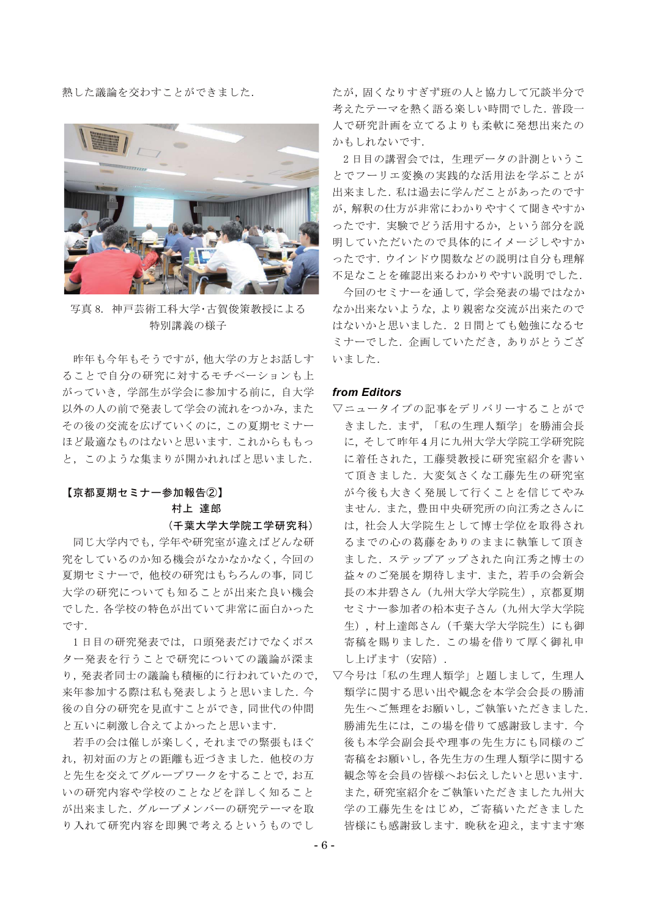熱した議論を交わすことができました.



写真 8. 神戸芸術工科大学·古賀俊策教授による 特別講義の様子

昨年も今年もそうですが、他大学の方とお話しす ることで自分の研究に対するモチベーションも上 がっていき、学部生が学会に参加する前に、自大学 以外の人の前で発表して学会の流れをつかみ、また その後の交流を広げていくのに、この夏期セミナー ほど最適なものはないと思います. これからももっ と、このような集まりが開かれればと思いました.

# 【京都夏期セミナー参加報告②】

## 村上 達郎

## (千葉大学大学院工学研究科)

同じ大学内でも、学年や研究室が違えばどんな研 究をしているのか知る機会がなかなかなく、今回の 夏期セミナーで、他校の研究はもちろんの事、同じ 大学の研究についても知ることが出来た良い機会 でした、各学校の特色が出ていて非常に面白かった です.

1日目の研究発表では、口頭発表だけでなくポス ター発表を行うことで研究についての議論が深ま り、発表者同士の議論も積極的に行われていたので、 来年参加する際は私も発表しようと思いました. 今 後の自分の研究を見直すことができ、同世代の仲間 と互いに刺激し合えてよかったと思います.

若手の会は催しが楽しく、それまでの緊張もほぐ れ、初対面の方との距離も近づきました、他校の方 と先生を交えてグループワークをすることで、お互 いの研究内容や学校のことなどを詳しく知ること が出来ました. グループメンバーの研究テーマを取 り入れて研究内容を即興で考えるというものでし

たが、固くなりすぎず班の人と協力して冗談半分で 考えたテーマを熱く語る楽しい時間でした. 普段一 人で研究計画を立てるよりも柔軟に発想出来たの かもしれないです.

2日目の講習会では、生理データの計測というこ とでフーリエ変換の実践的な活用法を学ぶことが 出来ました. 私は過去に学んだことがあったのです が、解釈の仕方が非常にわかりやすくて聞きやすか ったです. 実験でどう活用するか. という部分を説 明していただいたので具体的にイメージしやすか ったです. ウインドウ関数などの説明は自分も理解 不足なことを確認出来るわかりやすい説明でした.

今回のセミナーを通して、学会発表の場ではなか なか出来ないような、より親密な交流が出来たので はないかと思いました. 2日間とても勉強になるセ ミナーでした、企画していただき、ありがとうござ いました.

## from Editors

- ▽ニュータイプの記事をデリバリーすることがで きました. まず、「私の生理人類学」を勝浦会長 に、そして昨年4月に九州大学大学院工学研究院 に着任された、工藤奨教授に研究室紹介を書い て頂きました. 大変気さくな工藤先生の研究室 が今後も大きく発展して行くことを信じてやみ ません. また、豊田中央研究所の向江秀之さんに は、社会人大学院生として博士学位を取得され るまでの心の葛藤をありのままに執筆して頂き ました. ステップアップされた向江秀之博士の 益々のご発展を期待します. また、若手の会新会 長の本井碧さん (九州大学大学院生), 京都夏期 セミナー参加者の柗本吏子さん (九州大学大学院 生), 村上達郎さん (千葉大学大学院生)にも御 寄稿を賜りました. この場を借りて厚く御礼申 し上げます (安陪).
- ▽今号は「私の生理人類学」と題しまして、生理人 類学に関する思い出や観念を本学会会長の勝浦 先生へご無理をお願いし、ご執筆いただきました. 勝浦先生には、この場を借りて感謝致します. 今 後も本学会副会長や理事の先生方にも同様のご 寄稿をお願いし、各先生方の生理人類学に関する 観念等を会員の皆様へお伝えしたいと思います. また,研究室紹介をご執筆いただきました九州大 学の工藤先生をはじめ、ご寄稿いただきました 皆様にも感謝致します. 晩秋を迎え、ますます寒